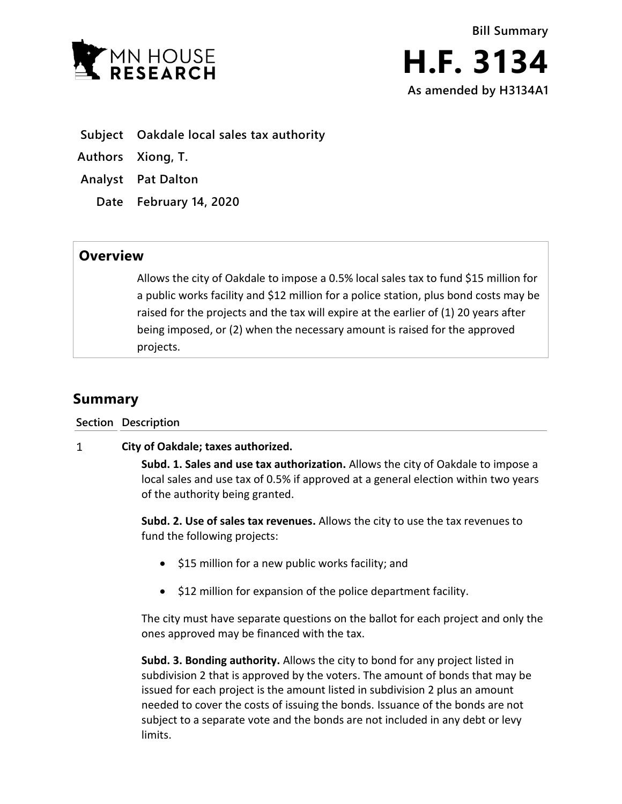

- **Subject Oakdale local sales tax authority**
- **Authors Xiong, T.**
- **Analyst Pat Dalton**
	- **Date February 14, 2020**

## **Overview**

Allows the city of Oakdale to impose a 0.5% local sales tax to fund \$15 million for a public works facility and \$12 million for a police station, plus bond costs may be raised for the projects and the tax will expire at the earlier of (1) 20 years after being imposed, or (2) when the necessary amount is raised for the approved projects.

## **Summary**

**Section Description**

## $\mathbf{1}$ **City of Oakdale; taxes authorized.**

**Subd. 1. Sales and use tax authorization.** Allows the city of Oakdale to impose a local sales and use tax of 0.5% if approved at a general election within two years of the authority being granted.

**Subd. 2. Use of sales tax revenues.** Allows the city to use the tax revenues to fund the following projects:

- \$15 million for a new public works facility; and
- $\bullet$  \$12 million for expansion of the police department facility.

The city must have separate questions on the ballot for each project and only the ones approved may be financed with the tax.

**Subd. 3. Bonding authority.** Allows the city to bond for any project listed in subdivision 2 that is approved by the voters. The amount of bonds that may be issued for each project is the amount listed in subdivision 2 plus an amount needed to cover the costs of issuing the bonds. Issuance of the bonds are not subject to a separate vote and the bonds are not included in any debt or levy limits.